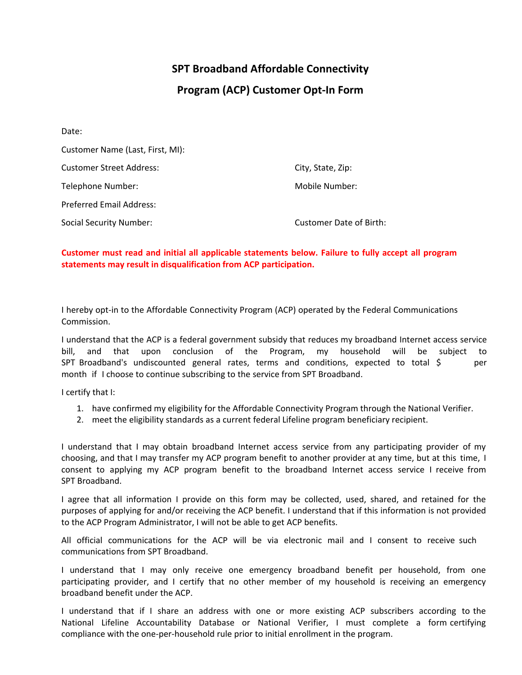## **SPT Broadband Affordable Connectivity Program (ACP) Customer Opt-In Form**

| Date:                            |                         |
|----------------------------------|-------------------------|
| Customer Name (Last, First, MI): |                         |
| <b>Customer Street Address:</b>  | City, State, Zip:       |
| Telephone Number:                | Mobile Number:          |
| <b>Preferred Email Address:</b>  |                         |
| <b>Social Security Number:</b>   | Customer Date of Birth: |

## **Customer must read and initial all applicable statements below. Failure to fully accept all program statements may result in disqualification from ACP participation.**

I hereby opt-in to the Affordable Connectivity Program (ACP) operated by the Federal Communications Commission.

I understand that the ACP is a federal government subsidy that reduces my broadband Internet access service bill, and that upon conclusion of the Program, my household will be subject to SPT Broadband's undiscounted general rates, terms and conditions, expected to total \$ per month if I choose to continue subscribing to the service from SPT Broadband.

I certify that I:

- 1. have confirmed my eligibility for the Affordable Connectivity Program through the National Verifier.
- 2. meet the eligibility standards as a current federal Lifeline program beneficiary recipient.

I understand that I may obtain broadband Internet access service from any participating provider of my choosing, and that I may transfer my ACP program benefit to another provider at any time, but at this time, I consent to applying my ACP program benefit to the broadband Internet access service I receive from SPT Broadband.

I agree that all information I provide on this form may be collected, used, shared, and retained for the purposes of applying for and/or receiving the ACP benefit. I understand that if this information is not provided to the ACP Program Administrator, I will not be able to get ACP benefits.

All official communications for the ACP will be via electronic mail and I consent to receive such communications from SPT Broadband.

I understand that I may only receive one emergency broadband benefit per household, from one participating provider, and I certify that no other member of my household is receiving an emergency broadband benefit under the ACP.

I understand that if I share an address with one or more existing ACP subscribers according to the National Lifeline Accountability Database or National Verifier, I must complete a form certifying compliance with the one-per-household rule prior to initial enrollment in the program.